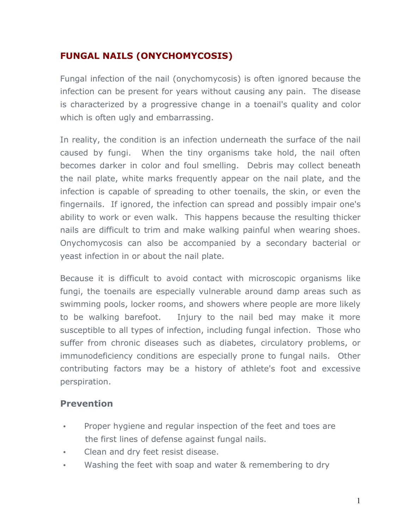## **FUNGAL NAILS (ONYCHOMYCOSIS)**

Fungal infection of the nail (onychomycosis) is often ignored because the infection can be present for years without causing any pain. The disease is characterized by a progressive change in a toenail's quality and color which is often ugly and embarrassing.

In reality, the condition is an infection underneath the surface of the nail caused by fungi. When the tiny organisms take hold, the nail often becomes darker in color and foul smelling. Debris may collect beneath the nail plate, white marks frequently appear on the nail plate, and the infection is capable of spreading to other toenails, the skin, or even the fingernails. If ignored, the infection can spread and possibly impair one's ability to work or even walk. This happens because the resulting thicker nails are difficult to trim and make walking painful when wearing shoes. Onychomycosis can also be accompanied by a secondary bacterial or yeast infection in or about the nail plate.

Because it is difficult to avoid contact with microscopic organisms like fungi, the toenails are especially vulnerable around damp areas such as swimming pools, locker rooms, and showers where people are more likely to be walking barefoot. Injury to the nail bed may make it more susceptible to all types of infection, including fungal infection. Those who suffer from chronic diseases such as diabetes, circulatory problems, or immunodeficiency conditions are especially prone to fungal nails. Other contributing factors may be a history of athlete's foot and excessive perspiration.

## **Prevention**

- Proper hygiene and regular inspection of the feet and toes are the first lines of defense against fungal nails.
- Clean and dry feet resist disease.
- Washing the feet with soap and water & remembering to dry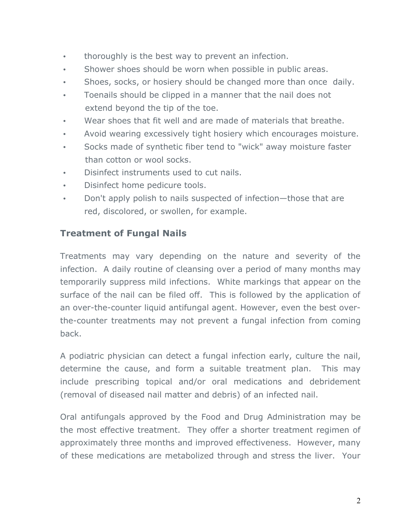- thoroughly is the best way to prevent an infection.
- Shower shoes should be worn when possible in public areas.
- Shoes, socks, or hosiery should be changed more than once daily.
- Toenails should be clipped in a manner that the nail does not extend beyond the tip of the toe.
- Wear shoes that fit well and are made of materials that breathe.
- Avoid wearing excessively tight hosiery which encourages moisture.
- Socks made of synthetic fiber tend to "wick" away moisture faster than cotton or wool socks.
- Disinfect instruments used to cut nails.
- Disinfect home pedicure tools.
- Don't apply polish to nails suspected of infection—those that are red, discolored, or swollen, for example.

## **Treatment of Fungal Nails**

Treatments may vary depending on the nature and severity of the infection. A daily routine of cleansing over a period of many months may temporarily suppress mild infections. White markings that appear on the surface of the nail can be filed off. This is followed by the application of an over-the-counter liquid antifungal agent. However, even the best overthe-counter treatments may not prevent a fungal infection from coming back.

A podiatric physician can detect a fungal infection early, culture the nail, determine the cause, and form a suitable treatment plan. This may include prescribing topical and/or oral medications and debridement (removal of diseased nail matter and debris) of an infected nail.

Oral antifungals approved by the Food and Drug Administration may be the most effective treatment. They offer a shorter treatment regimen of approximately three months and improved effectiveness. However, many of these medications are metabolized through and stress the liver. Your